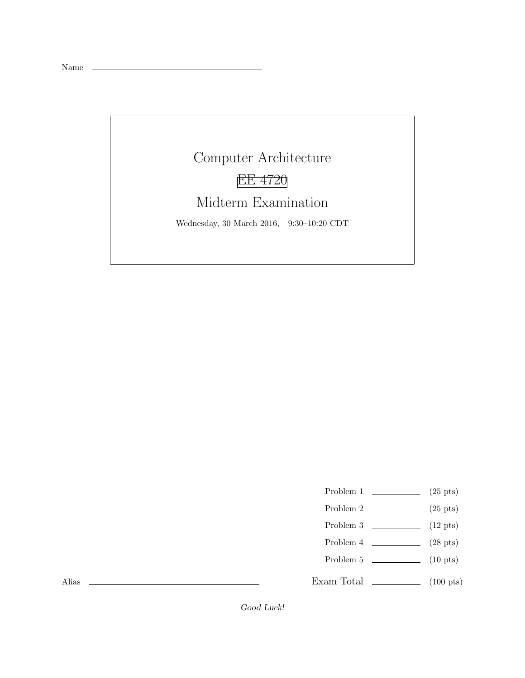Name

Computer Architecture [EE 4720](https://www.ece.lsu.edu/ee4720/) Midterm Examination Wednesday, 30 March 2016, 9:30–10:20 CDT

Problem 1  $\qquad \qquad$  (25 pts)

- Problem 2  $\qquad \qquad$  (25 pts)
- Problem 3  $\qquad \qquad (12 \text{ pts})$
- Problem 4  $\qquad \qquad$  (28 pts)
- Problem 5 (10 pts)

Exam Total \_\_\_\_\_\_\_\_\_\_\_\_\_ (100 pts)

Alias

Good Luck!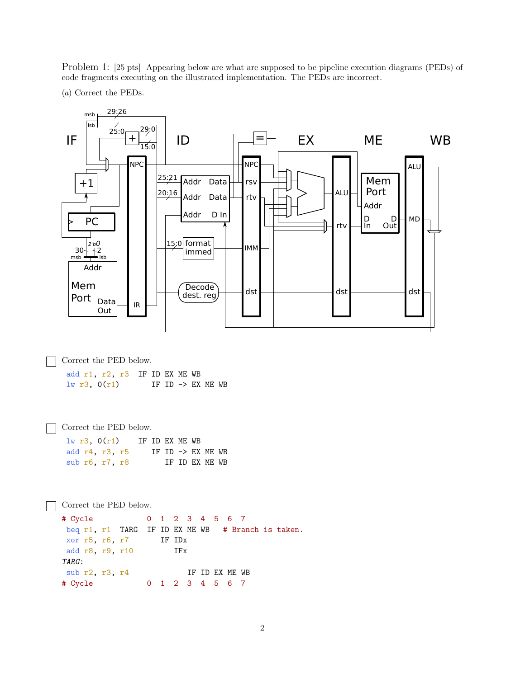Problem 1: [25 pts] Appearing below are what are supposed to be pipeline execution diagrams (PEDs) of code fragments executing on the illustrated implementation. The PEDs are incorrect.

(a) Correct the PEDs.

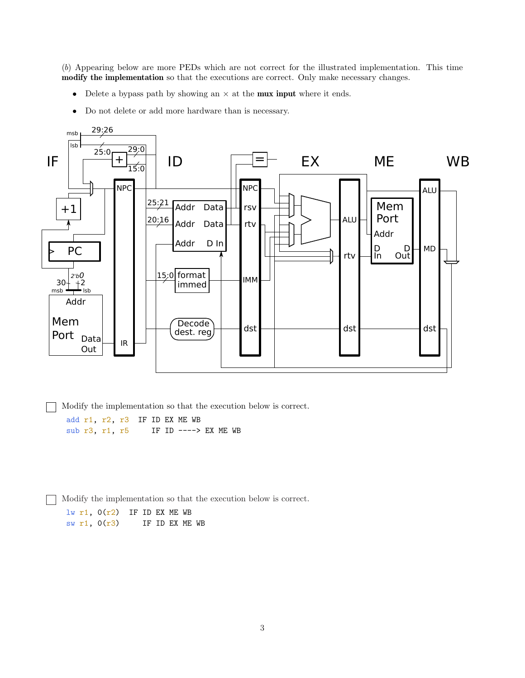(b) Appearing below are more PEDs which are not correct for the illustrated implementation. This time modify the implementation so that the executions are correct. Only make necessary changes.

- Delete a bypass path by showing an  $\times$  at the **mux input** where it ends.
- Do not delete or add more hardware than is necessary.



Modify the implementation so that the execution below is correct.

add r1, r2, r3 IF ID EX ME WB sub r3, r1, r5 IF ID ----> EX ME WB

Modify the implementation so that the execution below is correct.

 $lw$  r1,  $O(r2)$  IF ID EX ME WB sw r1,  $0(r3)$  IF ID EX ME WB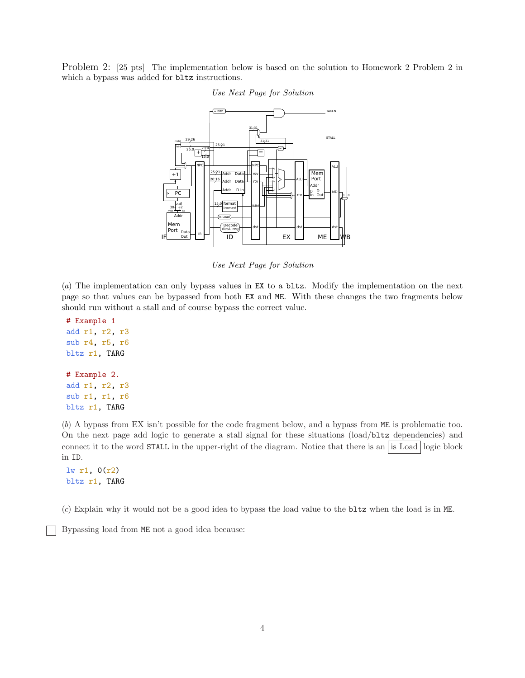Problem 2: [25 pts] The implementation below is based on the solution to Homework 2 Problem 2 in which a bypass was added for  $bltz$  instructions.



## Use Next Page for Solution

Use Next Page for Solution

(a) The implementation can only bypass values in EX to a bltz. Modify the implementation on the next page so that values can be bypassed from both EX and ME. With these changes the two fragments below should run without a stall and of course bypass the correct value.

```
# Example 1
add r1, r2, r3
sub r4, r5, r6
bltz r1, TARG
# Example 2.
add r1, r2, r3
sub r1, r1, r6
bltz r1, TARG
```
(b) A bypass from EX isn't possible for the code fragment below, and a bypass from ME is problematic too. On the next page add logic to generate a stall signal for these situations (load/bltz dependencies) and connect it to the word STALL in the upper-right of the diagram. Notice that there is an is Load logic block in ID.

```
lw r1, 0(r2)
bltz r1, TARG
```
(c) Explain why it would not be a good idea to bypass the load value to the bltz when the load is in ME.

Bypassing load from ME not a good idea because: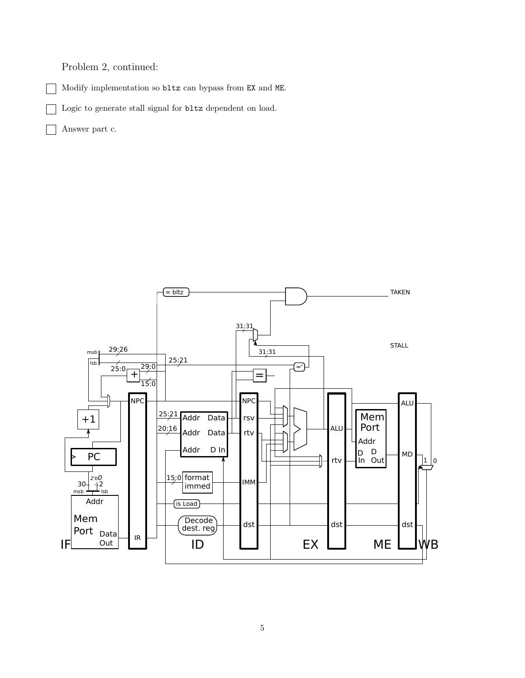Problem 2, continued:

Modify implementation so bltz can bypass from EX and ME.

Logic to generate stall signal for bltz dependent on load.

Answer part c.

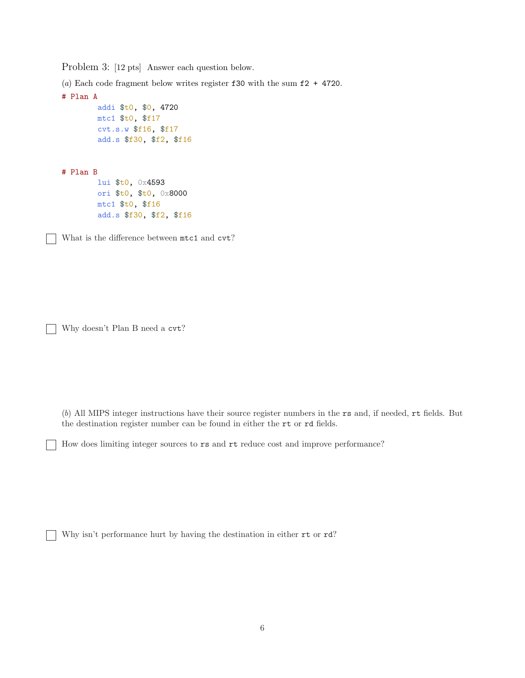Problem 3: [12 pts] Answer each question below.

(a) Each code fragment below writes register  $f30$  with the sum  $f2 + 4720$ .

```
# Plan A
        addi $t0, $0, 4720
        mtc1 $t0, $f17
        cvt.s.w $f16, $f17
        add.s $f30, $f2, $f16
```
# Plan B

 $\overline{\phantom{a}}$ 

lui \$t0, 0x4593 ori \$t0, \$t0, 0x8000 mtc1 \$t0, \$f16 add.s \$f30, \$f2, \$f16

What is the difference between mtc1 and cvt?

Why doesn't Plan B need a cvt?

(b) All MIPS integer instructions have their source register numbers in the rs and, if needed, rt fields. But the destination register number can be found in either the rt or rd fields.

How does limiting integer sources to rs and rt reduce cost and improve performance?

Why isn't performance hurt by having the destination in either rt or rd?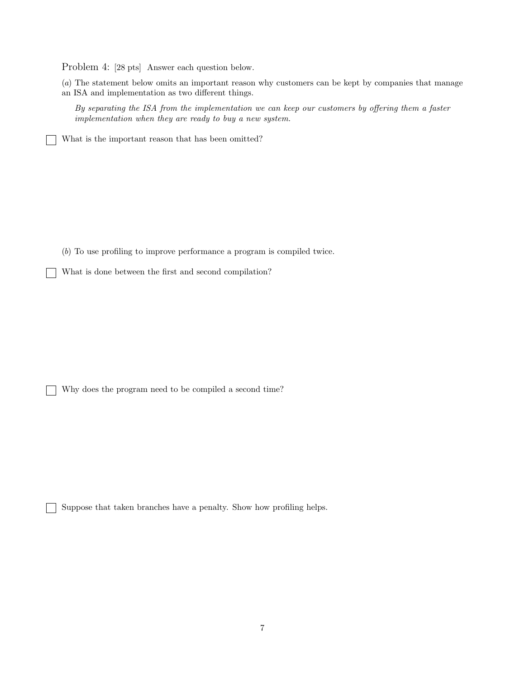Problem 4: [28 pts] Answer each question below.

(a) The statement below omits an important reason why customers can be kept by companies that manage an ISA and implementation as two different things.

By separating the ISA from the implementation we can keep our customers by offering them a faster implementation when they are ready to buy a new system.

What is the important reason that has been omitted?

(b) To use profiling to improve performance a program is compiled twice.

What is done between the first and second compilation?

Why does the program need to be compiled a second time?

Suppose that taken branches have a penalty. Show how profiling helps.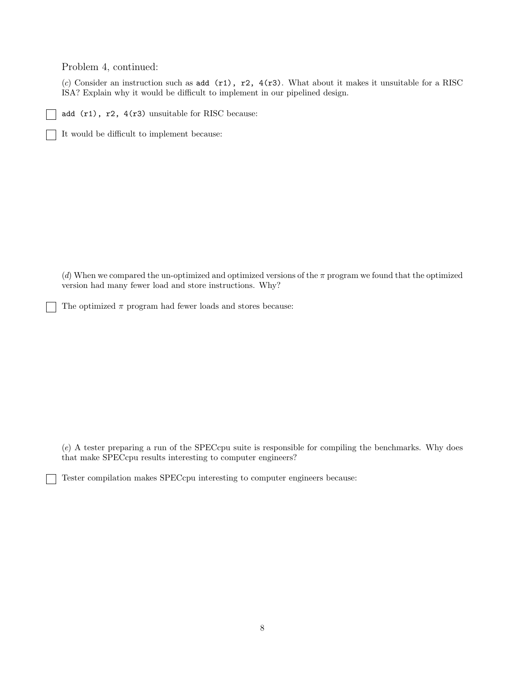Problem 4, continued:

(c) Consider an instruction such as add  $(r1)$ ,  $r2$ ,  $4(r3)$ . What about it makes it unsuitable for a RISC ISA? Explain why it would be difficult to implement in our pipelined design.

add (r1), r2, 4(r3) unsuitable for RISC because:

It would be difficult to implement because:

(d) When we compared the un-optimized and optimized versions of the  $\pi$  program we found that the optimized version had many fewer load and store instructions. Why?

The optimized  $\pi$  program had fewer loads and stores because:

(e) A tester preparing a run of the SPECcpu suite is responsible for compiling the benchmarks. Why does that make SPECcpu results interesting to computer engineers?

Tester compilation makes SPECcpu interesting to computer engineers because: